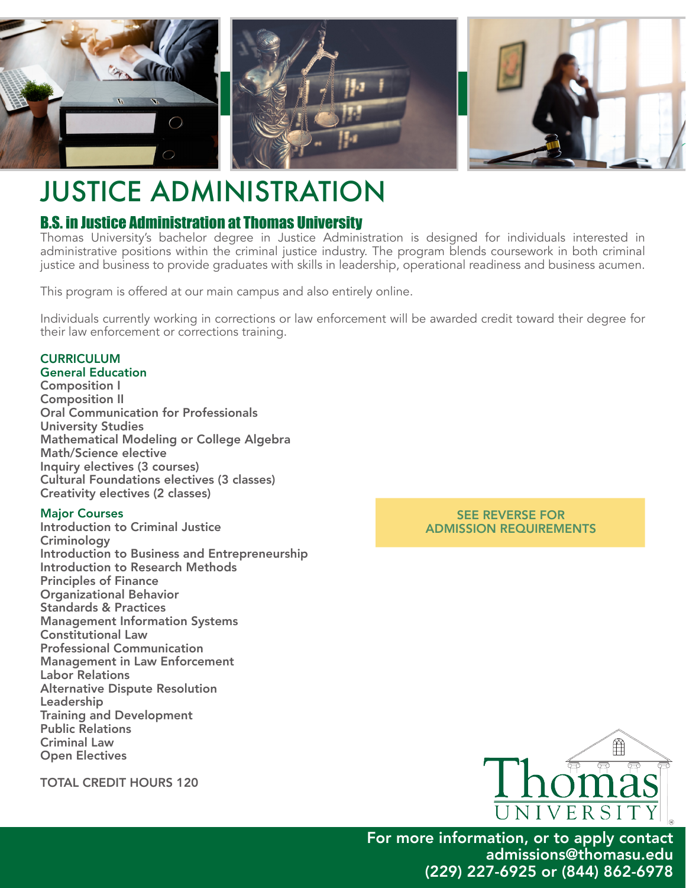

# JUSTICE ADMINISTRATION

## B.S. in Justice Administration at Thomas University

Thomas University's bachelor degree in Justice Administration is designed for individuals interested in administrative positions within the criminal justice industry. The program blends coursework in both criminal justice and business to provide graduates with skills in leadership, operational readiness and business acumen.

This program is offered at our main campus and also entirely online.

Individuals currently working in corrections or law enforcement will be awarded credit toward their degree for their law enforcement or corrections training.

## **CURRICULUM**

General Education Composition I Composition II Oral Communication for Professionals University Studies Mathematical Modeling or College Algebra Math/Science elective Inquiry electives (3 courses) Cultural Foundations electives (3 classes) Creativity electives (2 classes)

#### Major Courses

Introduction to Criminal Justice **Criminology** Introduction to Business and Entrepreneurship Introduction to Research Methods Principles of Finance Organizational Behavior Standards & Practices Management Information Systems Constitutional Law Professional Communication Management in Law Enforcement Labor Relations Alternative Dispute Resolution Leadership Training and Development Public Relations Criminal Law Open Electives

SEE REVERSE FOR ADMISSION REQUIREMENTS



For more information, or to apply contact admissions@thomasu.edu (229) 227-6925 or (844) 862-6978

TOTAL CREDIT HOURS 120